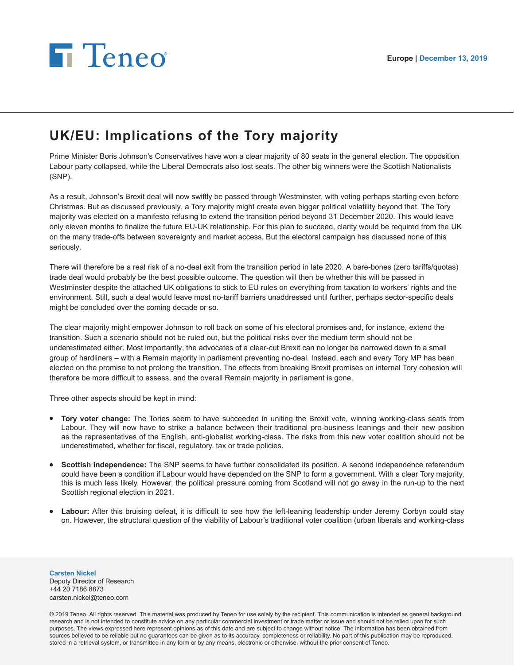## **Fi** Teneo

## **UK/EU: Implications of the Tory majority**

Prime Minister Boris Johnson's Conservatives have won a clear majority of 80 seats in the general election. The opposition Labour party collapsed, while the Liberal Democrats also lost seats. The other big winners were the Scottish Nationalists (SNP).

As a result, Johnson's Brexit deal will now swiftly be passed through Westminster, with voting perhaps starting even before Christmas. But as discussed previously, a Tory majority might create even bigger political volatility beyond that. The Tory majority was elected on a manifesto refusing to extend the transition period beyond 31 December 2020. This would leave only eleven months to finalize the future EU-UK relationship. For this plan to succeed, clarity would be required from the UK on the many trade-offs between sovereignty and market access. But the electoral campaign has discussed none of this seriously.

There will therefore be a real risk of a no-deal exit from the transition period in late 2020. A bare-bones (zero tariffs/quotas) trade deal would probably be the best possible outcome. The question will then be whether this will be passed in Westminster despite the attached UK obligations to stick to EU rules on everything from taxation to workers' rights and the environment. Still, such a deal would leave most no-tariff barriers unaddressed until further, perhaps sector-specific deals might be concluded over the coming decade or so.

The clear majority might empower Johnson to roll back on some of his electoral promises and, for instance, extend the transition. Such a scenario should not be ruled out, but the political risks over the medium term should not be underestimated either. Most importantly, the advocates of a clear-cut Brexit can no longer be narrowed down to a small group of hardliners – with a Remain majority in parliament preventing no-deal. Instead, each and every Tory MP has been elected on the promise to not prolong the transition. The effects from breaking Brexit promises on internal Tory cohesion will therefore be more difficult to assess, and the overall Remain majority in parliament is gone.

Three other aspects should be kept in mind:

- **Tory voter change:** The Tories seem to have succeeded in uniting the Brexit vote, winning working-class seats from Labour. They will now have to strike a balance between their traditional pro-business leanings and their new position as the representatives of the English, anti-globalist working-class. The risks from this new voter coalition should not be underestimated, whether for fiscal, regulatory, tax or trade policies.
- **Scottish independence:** The SNP seems to have further consolidated its position. A second independence referendum could have been a condition if Labour would have depended on the SNP to form a government. With a clear Tory majority, this is much less likely. However, the political pressure coming from Scotland will not go away in the run-up to the next Scottish regional election in 2021.
- Labour: After this bruising defeat, it is difficult to see how the left-leaning leadership under Jeremy Corbyn could stay on. However, the structural question of the viability of Labour's traditional voter coalition (urban liberals and working-class

**Carsten Nickel** Deputy Director of Research +44 20 7186 8873 carsten.nickel@teneo.com

© 2019 Teneo. All rights reserved. This material was produced by Teneo for use solely by the recipient. This communication is intended as general background research and is not intended to constitute advice on any particular commercial investment or trade matter or issue and should not be relied upon for such purposes. The views expressed here represent opinions as of this date and are subject to change without notice. The information has been obtained from sources believed to be reliable but no guarantees can be given as to its accuracy, completeness or reliability. No part of this publication may be reproduced, stored in a retrieval system, or transmitted in any form or by any means, electronic or otherwise, without the prior consent of Teneo.